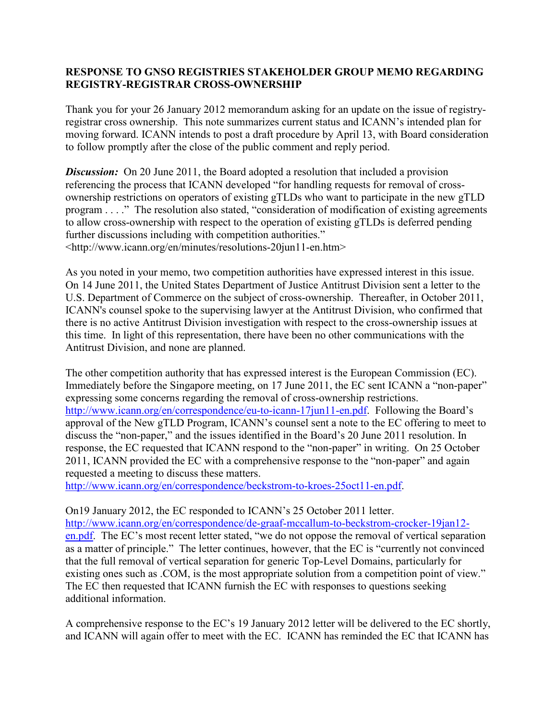## **RESPONSE TO GNSO REGISTRIES STAKEHOLDER GROUP MEMO REGARDING REGISTRY-REGISTRAR CROSS-OWNERSHIP**

Thank you for your 26 January 2012 memorandum asking for an update on the issue of registryregistrar cross ownership. This note summarizes current status and ICANN's intended plan for moving forward. ICANN intends to post a draft procedure by April 13, with Board consideration to follow promptly after the close of the public comment and reply period.

**Discussion:** On 20 June 2011, the Board adopted a resolution that included a provision referencing the process that ICANN developed "for handling requests for removal of crossownership restrictions on operators of existing gTLDs who want to participate in the new gTLD program . . . ." The resolution also stated, "consideration of modification of existing agreements to allow cross-ownership with respect to the operation of existing gTLDs is deferred pending further discussions including with competition authorities." <http://www.icann.org/en/minutes/resolutions-20jun11-en.htm>

As you noted in your memo, two competition authorities have expressed interest in this issue. On 14 June 2011, the United States Department of Justice Antitrust Division sent a letter to the U.S. Department of Commerce on the subject of cross-ownership. Thereafter, in October 2011, ICANN's counsel spoke to the supervising lawyer at the Antitrust Division, who confirmed that there is no active Antitrust Division investigation with respect to the cross-ownership issues at this time. In light of this representation, there have been no other communications with the Antitrust Division, and none are planned.

The other competition authority that has expressed interest is the European Commission (EC). Immediately before the Singapore meeting, on 17 June 2011, the EC sent ICANN a "non-paper" expressing some concerns regarding the removal of cross-ownership restrictions. [http://www.icann.org/en/correspondence/eu-to-icann-17jun11-en.pdf.](http://www.icann.org/en/correspondence/eu-to-icann-17jun11-en.pdf) Following the Board's approval of the New gTLD Program, ICANN's counsel sent a note to the EC offering to meet to discuss the "non-paper," and the issues identified in the Board's 20 June 2011 resolution. In response, the EC requested that ICANN respond to the "non-paper" in writing. On 25 October 2011, ICANN provided the EC with a comprehensive response to the "non-paper" and again requested a meeting to discuss these matters.

[http://www.icann.org/en/correspondence/beckstrom-to-kroes-25oct11-en.pdf.](http://www.icann.org/en/correspondence/beckstrom-to-kroes-25oct11-en.pdf)

On19 January 2012, the EC responded to ICANN's 25 October 2011 letter. [http://www.icann.org/en/correspondence/de-graaf-mccallum-to-beckstrom-crocker-19jan12](http://www.icann.org/en/correspondence/de-graaf-mccallum-to-beckstrom-crocker-19jan12-en.pdf) [en.pdf.](http://www.icann.org/en/correspondence/de-graaf-mccallum-to-beckstrom-crocker-19jan12-en.pdf) The EC's most recent letter stated, "we do not oppose the removal of vertical separation as a matter of principle." The letter continues, however, that the EC is "currently not convinced that the full removal of vertical separation for generic Top-Level Domains, particularly for existing ones such as .COM, is the most appropriate solution from a competition point of view." The EC then requested that ICANN furnish the EC with responses to questions seeking additional information.

A comprehensive response to the EC's 19 January 2012 letter will be delivered to the EC shortly, and ICANN will again offer to meet with the EC. ICANN has reminded the EC that ICANN has